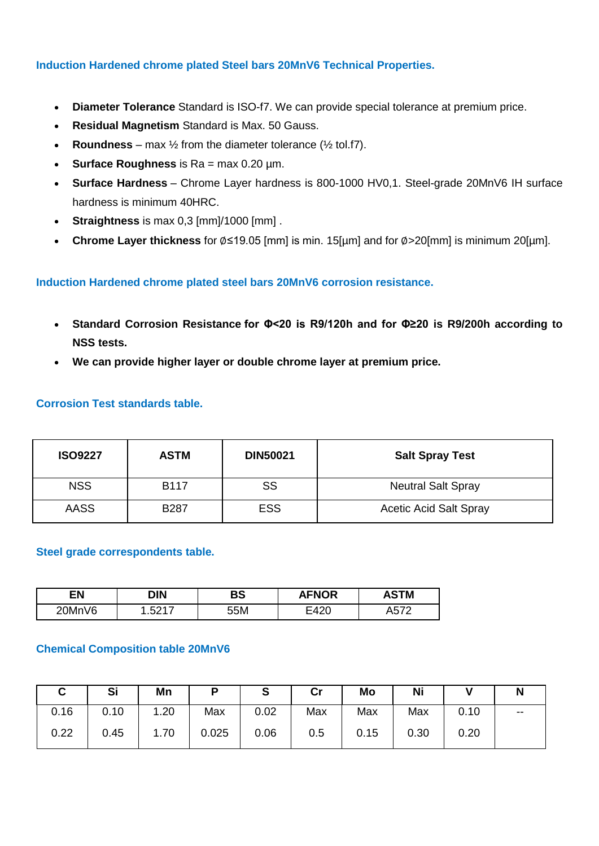## **Induction Hardened chrome plated Steel bars 20MnV6 Technical Properties.**

- **Diameter Tolerance** Standard is ISO-f7. We can provide special tolerance at premium price.
- **Residual Magnetism** Standard is Max. 50 Gauss.
- **Roundness** max  $\frac{1}{2}$  from the diameter tolerance ( $\frac{1}{2}$  tol.f7).
- **Surface Roughness** is Ra = max 0.20 µm.
- **Surface Hardness** Chrome Layer hardness is 800-1000 HV0,1. Steel-grade 20MnV6 IH surface hardness is minimum 40HRC.
- **Straightness** is max 0,3 [mm]/1000 [mm] .
- **Chrome Layer thickness** for ∅≤19.05 [mm] is min. 15[µm] and for ∅>20[mm] is minimum 20[µm].

### **Induction Hardened chrome plated steel bars 20MnV6 corrosion resistance.**

- **Standard Corrosion Resistance for Φ<20 is R9/120h and for Φ≥20 is R9/200h according to NSS tests.**
- **We can provide higher layer or double chrome layer at premium price.**

#### **Corrosion Test standards table.**

| <b>ISO9227</b> | <b>ASTM</b> | <b>DIN50021</b> | <b>Salt Spray Test</b>        |
|----------------|-------------|-----------------|-------------------------------|
| <b>NSS</b>     | <b>B117</b> | SS              | <b>Neutral Salt Spray</b>     |
| <b>AASS</b>    | <b>B287</b> | <b>ESS</b>      | <b>Acetic Acid Salt Spray</b> |

#### **Steel grade correspondents table.**

| ΕN     | DIN          | BS  | <b>AFNOR</b>           | STM                  |
|--------|--------------|-----|------------------------|----------------------|
| 20MnV6 | ∽<br>.va i i | 55M | $\Lambda$<br>-<br>54∠∟ | $- - -$<br>שר<br>. . |

#### **Chemical Composition table 20MnV6**

|      | Si   | Mn   | P   | S    | $\mathsf{Cr}$ | Mo   | Ni   |      |       |
|------|------|------|-----|------|---------------|------|------|------|-------|
| 0.16 | 0.10 | 1.20 | Max | 0.02 | Max           | Max  | Max  | 0.10 | $- -$ |
| 0.22 | 0.45 | 1.70 |     | 0.06 | 0.5           | 0.15 | 0.30 | 0.20 |       |